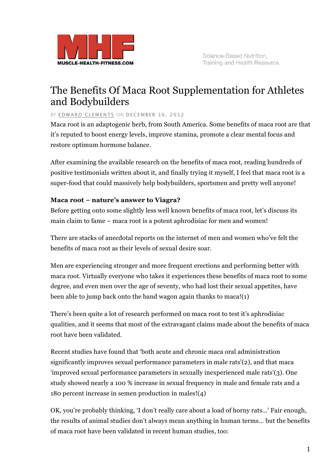

## The Benefits Of Maca Root Supplementation for Athletes and Bodybuilders

#### BY EDWARD CLEMENTS ON DECEMBER 16, 2012

Maca root is an adaptogenic herb, from South America. Some benefits of maca root are that it's reputed to boost energy levels, improve stamina, promote a clear mental focus and restore optimum hormone balance.

After examining the available research on the benefits of maca root, reading hundreds of positive testimonials written about it, and finally trying it myself, I feel that maca root is a super-food that could massively help bodybuilders, sportsmen and pretty well anyone!

#### **Maca root – nature's answer to Viagra?**

Before getting onto some slightly less well known benefits of maca root, let's discuss its main claim to fame – maca root is a potent aphrodisiac for men and women!

There are stacks of anecdotal reports on the internet of men and women who've felt the benefits of maca root as their levels of sexual desire soar.

Men are experiencing stronger and more frequent erections and performing better with maca root. Virtually everyone who takes it experiences these benefits of maca root to some degree, and even men over the age of seventy, who had lost their sexual appetites, have been able to jump back onto the band wagon again thanks to maca!(1)

There's been quite a lot of research performed on maca root to test it's aphrodisiac qualities, and it seems that most of the extravagant claims made about the benefits of maca root have been validated.

Recent studies have found that 'both acute and chronic maca oral administration significantly improves sexual performance parameters in male rats'(2), and that maca 'improved sexual performance parameters in sexually inexperienced male rats'(3). One study showed nearly a 100 % increase in sexual frequency in male and female rats and a 180 percent increase in semen production in males!(4)

OK, you're probably thinking, 'I don't really care about a load of horny rats…' Fair enough, the results of animal studies don't always mean anything in human terms… but the benefits of maca root have been validated in recent human studies, too: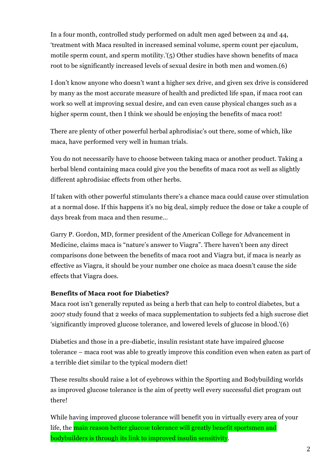In a four month, controlled study performed on adult men aged between 24 and 44, 'treatment with Maca resulted in increased seminal volume, sperm count per ejaculum, motile sperm count, and sperm motility.'(5) Other studies have shown benefits of maca root to be significantly increased levels of sexual desire in both men and women.(6)

I don't know anyone who doesn't want a higher sex drive, and given sex drive is considered by many as the most accurate measure of health and predicted life span, if maca root can work so well at improving sexual desire, and can even cause physical changes such as a higher sperm count, then I think we should be enjoying the benefits of maca root!

There are plenty of other powerful herbal aphrodisiac's out there, some of which, like maca, have performed very well in human trials.

You do not necessarily have to choose between taking maca or another product. Taking a herbal blend containing maca could give you the benefits of maca root as well as slightly different aphrodisiac effects from other herbs.

If taken with other powerful stimulants there's a chance maca could cause over stimulation at a normal dose. If this happens it's no big deal, simply reduce the dose or take a couple of days break from maca and then resume…

Garry P. Gordon, MD, former president of the American College for Advancement in Medicine, claims maca is "nature's answer to Viagra". There haven't been any direct comparisons done between the benefits of maca root and Viagra but, if maca is nearly as effective as Viagra, it should be your number one choice as maca doesn't cause the side effects that Viagra does.

#### **Benefits of Maca root for Diabetics?**

Maca root isn't generally reputed as being a herb that can help to control diabetes, but a 2007 study found that 2 weeks of maca supplementation to subjects fed a high sucrose diet 'significantly improved glucose tolerance, and lowered levels of glucose in blood.'(6)

Diabetics and those in a pre-diabetic, insulin resistant state have impaired glucose tolerance – maca root was able to greatly improve this condition even when eaten as part of a terrible diet similar to the typical modern diet!

These results should raise a lot of eyebrows within the Sporting and Bodybuilding worlds as improved glucose tolerance is the aim of pretty well every successful diet program out there!

While having improved glucose tolerance will benefit you in virtually every area of your life, the main reason better glucose tolerance will greatly benefit sportsmen and bodybuilders is through its link to improved insulin sensitivity.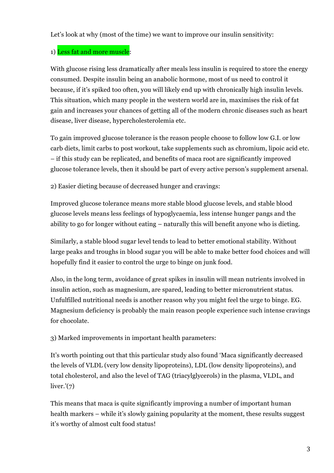Let's look at why (most of the time) we want to improve our insulin sensitivity:

### 1) Less fat and more muscle:

With glucose rising less dramatically after meals less insulin is required to store the energy consumed. Despite insulin being an anabolic hormone, most of us need to control it because, if it's spiked too often, you will likely end up with chronically high insulin levels. This situation, which many people in the western world are in, maximises the risk of fat gain and increases your chances of getting all of the modern chronic diseases such as heart disease, liver disease, hypercholesterolemia etc.

To gain improved glucose tolerance is the reason people choose to follow low G.I. or low carb diets, limit carbs to post workout, take supplements such as chromium, lipoic acid etc. – if this study can be replicated, and benefits of maca root are significantly improved glucose tolerance levels, then it should be part of every active person's supplement arsenal.

2) Easier dieting because of decreased hunger and cravings:

Improved glucose tolerance means more stable blood glucose levels, and stable blood glucose levels means less feelings of hypoglycaemia, less intense hunger pangs and the ability to go for longer without eating – naturally this will benefit anyone who is dieting.

Similarly, a stable blood sugar level tends to lead to better emotional stability. Without large peaks and troughs in blood sugar you will be able to make better food choices and will hopefully find it easier to control the urge to binge on junk food.

Also, in the long term, avoidance of great spikes in insulin will mean nutrients involved in insulin action, such as magnesium, are spared, leading to better micronutrient status. Unfulfilled nutritional needs is another reason why you might feel the urge to binge. EG. Magnesium deficiency is probably the main reason people experience such intense cravings for chocolate.

3) Marked improvements in important health parameters:

It's worth pointing out that this particular study also found 'Maca significantly decreased the levels of VLDL (very low density lipoproteins), LDL (low density lipoproteins), and total cholesterol, and also the level of TAG (triacylglycerols) in the plasma, VLDL, and liver. $(7)$ 

This means that maca is quite significantly improving a number of important human health markers – while it's slowly gaining popularity at the moment, these results suggest it's worthy of almost cult food status!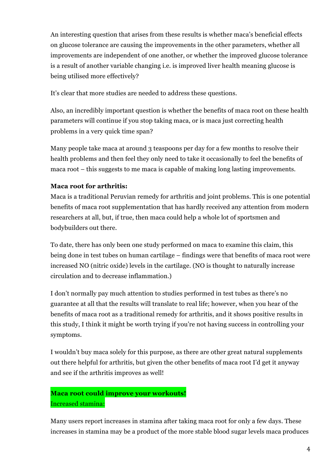An interesting question that arises from these results is whether maca's beneficial effects on glucose tolerance are causing the improvements in the other parameters, whether all improvements are independent of one another, or whether the improved glucose tolerance is a result of another variable changing i.e. is improved liver health meaning glucose is being utilised more effectively?

It's clear that more studies are needed to address these questions.

Also, an incredibly important question is whether the benefits of maca root on these health parameters will continue if you stop taking maca, or is maca just correcting health problems in a very quick time span?

Many people take maca at around 3 teaspoons per day for a few months to resolve their health problems and then feel they only need to take it occasionally to feel the benefits of maca root – this suggests to me maca is capable of making long lasting improvements.

#### **Maca root for arthritis:**

Maca is a traditional Peruvian remedy for arthritis and joint problems. This is one potential benefits of maca root supplementation that has hardly received any attention from modern researchers at all, but, if true, then maca could help a whole lot of sportsmen and bodybuilders out there.

To date, there has only been one study performed on maca to examine this claim, this being done in test tubes on human cartilage – findings were that benefits of maca root were increased NO (nitric oxide) levels in the cartilage. (NO is thought to naturally increase circulation and to decrease inflammation.)

I don't normally pay much attention to studies performed in test tubes as there's no guarantee at all that the results will translate to real life; however, when you hear of the benefits of maca root as a traditional remedy for arthritis, and it shows positive results in this study, I think it might be worth trying if you're not having success in controlling your symptoms.

I wouldn't buy maca solely for this purpose, as there are other great natural supplements out there helpful for arthritis, but given the other benefits of maca root I'd get it anyway and see if the arthritis improves as well!

## **Maca root could improve your workouts!** Increased stamina:

Many users report increases in stamina after taking maca root for only a few days. These increases in stamina may be a product of the more stable blood sugar levels maca produces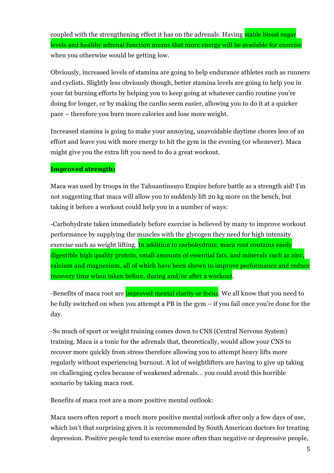coupled with the strengthening effect it has on the adrenals. Having **stable blood sugar** levels and healthy adrenal function means that more energy will be available for exercise when you otherwise would be getting low.

Obviously, increased levels of stamina are going to help endurance athletes such as runners and cyclists. Slightly less obviously though, better stamina levels are going to help you in your fat burning efforts by helping you to keep going at whatever cardio routine you're doing for longer, or by making the cardio seem easier, allowing you to do it at a quicker pace – therefore you burn more calories and lose more weight.

Increased stamina is going to make your annoying, unavoidable daytime chores less of an effort and leave you with more energy to hit the gym in the evening (or whenever). Maca might give you the extra lift you need to do a great workout.

#### **Improved strength:**

Maca was used by troops in the Tahuantinsuyo Empire before battle as a strength aid! I'm not suggesting that maca will allow you to suddenly lift 20 kg more on the bench, but taking it before a workout could help you in a number of ways:

-Carbohydrate taken immediately before exercise is believed by many to improve workout performance by supplying the muscles with the glycogen they need for high intensity exercise such as weight lifting. In addition to carbohydrate, maca root contains easily digestible high quality protein, small amounts of essential fats, and minerals such as zinc, calcium and magnesium, all of which have been shown to improve performance and reduce recovery time when taken before, during and/or after a workout.

-Benefits of maca root are *improved mental clarity or focus*. We all know that you need to be fully switched on when you attempt a PB in the gym – if you fail once you're done for the day.

-So much of sport or weight training comes down to CNS (Central Nervous System) training. Maca is a tonic for the adrenals that, theoretically, would allow your CNS to recover more quickly from stress therefore allowing you to attempt heavy lifts more regularly without experiencing burnout. A lot of weightlifters are having to give up taking on challenging cycles because of weakened adrenals… you could avoid this horrible scenario by taking maca root.

Benefits of maca root are a more positive mental outlook:

Maca users often report a much more positive mental outlook after only a few days of use, which isn't that surprising given it is recommended by South American doctors for treating depression. Positive people tend to exercise more often than negative or depressive people,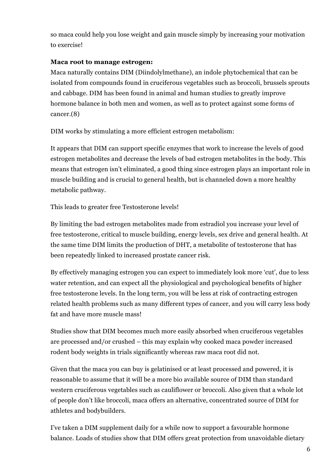so maca could help you lose weight and gain muscle simply by increasing your motivation to exercise!

#### **Maca root to manage estrogen:**

Maca naturally contains DIM (Diindolylmethane), an indole phytochemical that can be isolated from compounds found in cruciferous vegetables such as broccoli, brussels sprouts and cabbage. DIM has been found in animal and human studies to greatly improve hormone balance in both men and women, as well as to protect against some forms of cancer.(8)

DIM works by stimulating a more efficient estrogen metabolism:

It appears that DIM can support specific enzymes that work to increase the levels of good estrogen metabolites and decrease the levels of bad estrogen metabolites in the body. This means that estrogen isn't eliminated, a good thing since estrogen plays an important role in muscle building and is crucial to general health, but is channeled down a more healthy metabolic pathway.

This leads to greater free Testosterone levels!

By limiting the bad estrogen metabolites made from estradiol you increase your level of free testosterone, critical to muscle building, energy levels, sex drive and general health. At the same time DIM limits the production of DHT, a metabolite of testosterone that has been repeatedly linked to increased prostate cancer risk.

By effectively managing estrogen you can expect to immediately look more 'cut', due to less water retention, and can expect all the physiological and psychological benefits of higher free testosterone levels. In the long term, you will be less at risk of contracting estrogen related health problems such as many different types of cancer, and you will carry less body fat and have more muscle mass!

Studies show that DIM becomes much more easily absorbed when cruciferous vegetables are processed and/or crushed – this may explain why cooked maca powder increased rodent body weights in trials significantly whereas raw maca root did not.

Given that the maca you can buy is gelatinised or at least processed and powered, it is reasonable to assume that it will be a more bio available source of DIM than standard western cruciferous vegetables such as cauliflower or broccoli. Also given that a whole lot of people don't like broccoli, maca offers an alternative, concentrated source of DIM for athletes and bodybuilders.

I've taken a DIM supplement daily for a while now to support a favourable hormone balance. Loads of studies show that DIM offers great protection from unavoidable dietary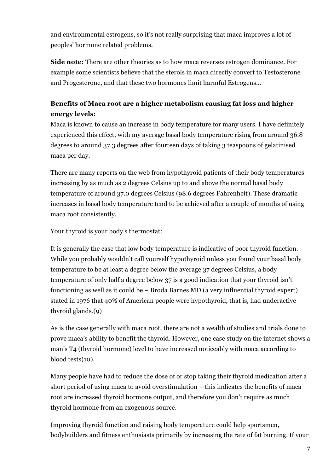and environmental estrogens, so it's not really surprising that maca improves a lot of peoples' hormone related problems.

**Side note:** There are other theories as to how maca reverses estrogen dominance. For example some scientists believe that the sterols in maca directly convert to Testosterone and Progesterone, and that these two hormones limit harmful Estrogens…

## **Benefits of Maca root are a higher metabolism causing fat loss and higher energy levels:**

Maca is known to cause an increase in body temperature for many users. I have definitely experienced this effect, with my average basal body temperature rising from around 36.8 degrees to around 37.3 degrees after fourteen days of taking 3 teaspoons of gelatinised maca per day.

There are many reports on the web from hypothyroid patients of their body temperatures increasing by as much as 2 degrees Celsius up to and above the normal basal body temperature of around 37.0 degrees Celsius (98.6 degrees Fahrenheit). These dramatic increases in basal body temperature tend to be achieved after a couple of months of using maca root consistently.

Your thyroid is your body's thermostat:

It is generally the case that low body temperature is indicative of poor thyroid function. While you probably wouldn't call yourself hypothyroid unless you found your basal body temperature to be at least a degree below the average 37 degrees Celsius, a body temperature of only half a degree below 37 is a good indication that your thyroid isn't functioning as well as it could be – Broda Barnes MD (a very influential thyroid expert) stated in 1976 that 40% of American people were hypothyroid, that is, had underactive thyroid glands.(9)

As is the case generally with maca root, there are not a wealth of studies and trials done to prove maca's ability to benefit the thyroid. However, one case study on the internet shows a man's T4 (thyroid hormone) level to have increased noticeably with maca according to blood tests(10).

Many people have had to reduce the dose of or stop taking their thyroid medication after a short period of using maca to avoid overstimulation – this indicates the benefits of maca root are increased thyroid hormone output, and therefore you don't require as much thyroid hormone from an exogenous source.

Improving thyroid function and raising body temperature could help sportsmen, bodybuilders and fitness enthusiasts primarily by increasing the rate of fat burning. If your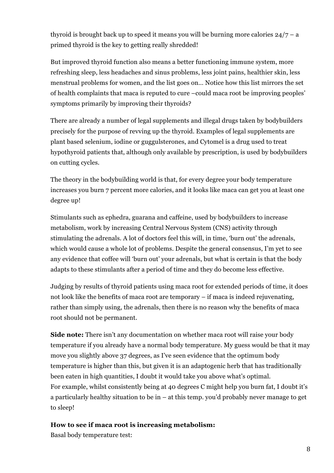thyroid is brought back up to speed it means you will be burning more calories  $24/7 - a$ primed thyroid is the key to getting really shredded!

But improved thyroid function also means a better functioning immune system, more refreshing sleep, less headaches and sinus problems, less joint pains, healthier skin, less menstrual problems for women, and the list goes on… Notice how this list mirrors the set of health complaints that maca is reputed to cure –could maca root be improving peoples' symptoms primarily by improving their thyroids?

There are already a number of legal supplements and illegal drugs taken by bodybuilders precisely for the purpose of revving up the thyroid. Examples of legal supplements are plant based selenium, iodine or guggulsterones, and Cytomel is a drug used to treat hypothyroid patients that, although only available by prescription, is used by bodybuilders on cutting cycles.

The theory in the bodybuilding world is that, for every degree your body temperature increases you burn 7 percent more calories, and it looks like maca can get you at least one degree up!

Stimulants such as ephedra, guarana and caffeine, used by bodybuilders to increase metabolism, work by increasing Central Nervous System (CNS) activity through stimulating the adrenals. A lot of doctors feel this will, in time, 'burn out' the adrenals, which would cause a whole lot of problems. Despite the general consensus, I'm yet to see any evidence that coffee will 'burn out' your adrenals, but what is certain is that the body adapts to these stimulants after a period of time and they do become less effective.

Judging by results of thyroid patients using maca root for extended periods of time, it does not look like the benefits of maca root are temporary – if maca is indeed rejuvenating, rather than simply using, the adrenals, then there is no reason why the benefits of maca root should not be permanent.

**Side note:** There isn't any documentation on whether maca root will raise your body temperature if you already have a normal body temperature. My guess would be that it may move you slightly above 37 degrees, as I've seen evidence that the optimum body temperature is higher than this, but given it is an adaptogenic herb that has traditionally been eaten in high quantities, I doubt it would take you above what's optimal. For example, whilst consistently being at 40 degrees C might help you burn fat, I doubt it's a particularly healthy situation to be in – at this temp. you'd probably never manage to get to sleep!

# **How to see if maca root is increasing metabolism:**

Basal body temperature test: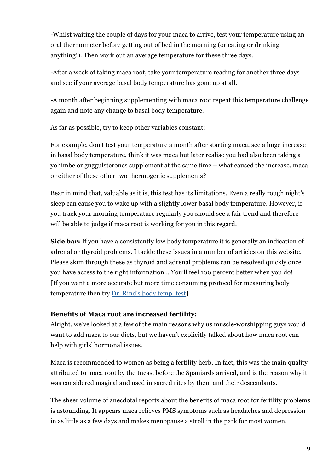-Whilst waiting the couple of days for your maca to arrive, test your temperature using an oral thermometer before getting out of bed in the morning (or eating or drinking anything!). Then work out an average temperature for these three days.

-After a week of taking maca root, take your temperature reading for another three days and see if your average basal body temperature has gone up at all.

-A month after beginning supplementing with maca root repeat this temperature challenge again and note any change to basal body temperature.

As far as possible, try to keep other variables constant:

For example, don't test your temperature a month after starting maca, see a huge increase in basal body temperature, think it was maca but later realise you had also been taking a yohimbe or guggulsterones supplement at the same time – what caused the increase, maca or either of these other two thermogenic supplements?

Bear in mind that, valuable as it is, this test has its limitations. Even a really rough night's sleep can cause you to wake up with a slightly lower basal body temperature. However, if you track your morning temperature regularly you should see a fair trend and therefore will be able to judge if maca root is working for you in this regard.

**Side bar:** If you have a consistently low body temperature it is generally an indication of adrenal or thyroid problems. I tackle these issues in a number of articles on this website. Please skim through these as thyroid and adrenal problems can be resolved quickly once you have access to the right information… You'll feel 100 percent better when you do! [If you want a more accurate but more time consuming protocol for measuring body temperature then try Dr. Rind's body temp. test]

#### **Benefits of Maca root are increased fertility:**

Alright, we've looked at a few of the main reasons why us muscle-worshipping guys would want to add maca to our diets, but we haven't explicitly talked about how maca root can help with girls' hormonal issues.

Maca is recommended to women as being a fertility herb. In fact, this was the main quality attributed to maca root by the Incas, before the Spaniards arrived, and is the reason why it was considered magical and used in sacred rites by them and their descendants.

The sheer volume of anecdotal reports about the benefits of maca root for fertility problems is astounding. It appears maca relieves PMS symptoms such as headaches and depression in as little as a few days and makes menopause a stroll in the park for most women.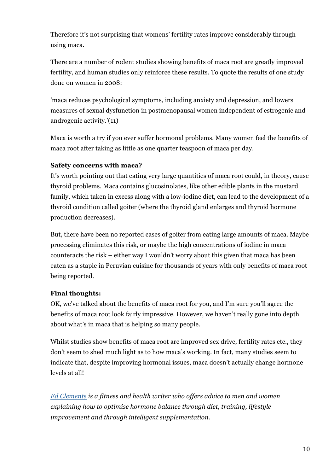Therefore it's not surprising that womens' fertility rates improve considerably through using maca.

There are a number of rodent studies showing benefits of maca root are greatly improved fertility, and human studies only reinforce these results. To quote the results of one study done on women in 2008:

'maca reduces psychological symptoms, including anxiety and depression, and lowers measures of sexual dysfunction in postmenopausal women independent of estrogenic and androgenic activity.'(11)

Maca is worth a try if you ever suffer hormonal problems. Many women feel the benefits of maca root after taking as little as one quarter teaspoon of maca per day.

#### **Safety concerns with maca?**

It's worth pointing out that eating very large quantities of maca root could, in theory, cause thyroid problems. Maca contains glucosinolates, like other edible plants in the mustard family, which taken in excess along with a low-iodine diet, can lead to the development of a thyroid condition called goiter (where the thyroid gland enlarges and thyroid hormone production decreases).

But, there have been no reported cases of goiter from eating large amounts of maca. Maybe processing eliminates this risk, or maybe the high concentrations of iodine in maca counteracts the risk – either way I wouldn't worry about this given that maca has been eaten as a staple in Peruvian cuisine for thousands of years with only benefits of maca root being reported.

#### **Final thoughts:**

OK, we've talked about the benefits of maca root for you, and I'm sure you'll agree the benefits of maca root look fairly impressive. However, we haven't really gone into depth about what's in maca that is helping so many people.

Whilst studies show benefits of maca root are improved sex drive, fertility rates etc., they don't seem to shed much light as to how maca's working. In fact, many studies seem to indicate that, despite improving hormonal issues, maca doesn't actually change hormone levels at all!

*Ed Clements is a fitness and health writer who offers advice to men and women explaining how to optimise hormone balance through diet, training, lifestyle improvement and through intelligent supplementation.*